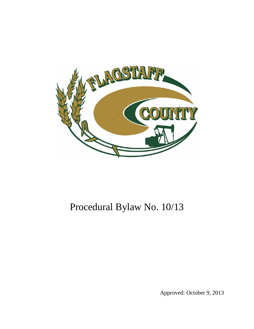

# Procedural Bylaw No. 10/13

Approved: October 9, 2013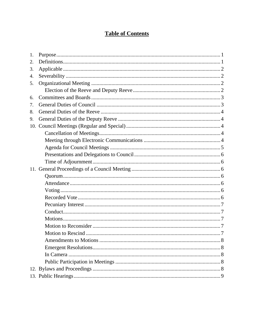## **Table of Contents**

| 1.  |  |
|-----|--|
| 2.  |  |
| 3.  |  |
| 4.  |  |
| 5.  |  |
|     |  |
| 6.  |  |
| 7.  |  |
| 8.  |  |
| 9.  |  |
|     |  |
|     |  |
|     |  |
|     |  |
|     |  |
|     |  |
| 11. |  |
|     |  |
|     |  |
|     |  |
|     |  |
|     |  |
|     |  |
|     |  |
|     |  |
|     |  |
|     |  |
|     |  |
|     |  |
|     |  |
|     |  |
|     |  |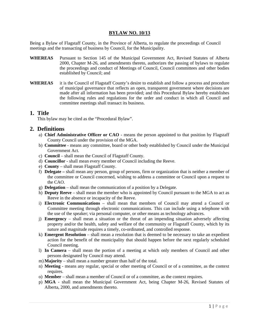#### **BYLAW NO. 10/13**

Being a Bylaw of Flagstaff County, in the Province of Alberta, to regulate the proceedings of Council meetings and the transacting of business by Council, for the Municipality.

- **WHEREAS** Pursuant to Section 145 of the Municipal Government Act, Revised Statutes of Alberta 2000, Chapter M-26, and amendments thereto, authorizes the passing of bylaws to regulate the proceedings and conduct of Meetings of Council, Council committees and other bodies established by Council; and
- **WHEREAS** it is the Council of Flagstaff County's desire to establish and follow a process and procedure of municipal governance that reflects an open, transparent government where decisions are made after all information has been provided; and this Procedural Bylaw hereby establishes the following rules and regulations for the order and conduct in which all Council and committee meetings shall transact its business.

#### **1. Title**

This bylaw may be cited as the "Procedural Bylaw".

#### **2. Definitions**

- a) **Chief Administrative Officer or CAO** means the person appointed to that position by Flagstaff County Council under the provision of the MGA.
- b) **Committee** means any committee, board or other body established by Council under the Municipal Government Act.
- c) **Council**  shall mean the Council of Flagstaff County.
- d) **Councillor** shall mean every member of Council including the Reeve.
- e) **County** shall mean Flagstaff County.
- f) **Delegate** shall mean any person, group of persons, firm or organization that is neither a member of the committee or Council concerned, wishing to address a committee or Council upon a request to the CAO.
- g) **Delegation** shall mean the communication of a position by a Delegate.
- h) **Deputy Reeve** shall mean the member who is appointed by Council pursuant to the MGA to act as Reeve in the absence or incapacity of the Reeve.
- i) **Electronic Communications** shall mean that members of Council may attend a Council or Committee meeting through electronic communications. This can include using a telephone with the use of the speaker; via personal computer, or other means as technology advances.
- j) **Emergency**  shall mean a situation or the threat of an impending situation adversely affecting property and/or the health, safety and welfare of the community or Flagstaff County, which by its nature and magnitude requires a timely, co-ordinated, and controlled response.
- k) **Emergent Resolution** shall mean a resolution that is deemed to be necessary to take an expedient action for the benefit of the municipality that should happen before the next regularly scheduled Council meeting.
- l) **In Camera**  shall mean the portion of a meeting at which only members of Council and other persons designated by Council may attend.
- m) **Majority**  shall mean a number greater than half of the total.
- n) **Meeting**  means any regular, special or other meeting of Council or of a committee, as the context requires.
- o) **Member**  shall mean a member of Council or of a committee, as the context requires.
- p) **MGA** shall mean the Municipal Government Act, being Chapter M-26, Revised Statutes of Alberta, 2000, and amendments thereto.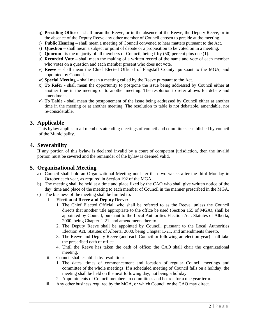- q) **Presiding Officer –** shall mean the Reeve, or in the absence of the Reeve, the Deputy Reeve, or in the absence of the Deputy Reeve any other member of Council chosen to preside at the meeting.
- r) **Public Hearing**  shall mean a meeting of Council convened to hear matters pursuant to the Act.
- s) **Question**  shall mean a subject or point of debate or a proposition to be voted on in a meeting.
- t) **Quorum**  is the majority of all members of Council, being fifty (50) percent plus one (1).
- u) **Recorded Vote** shall mean the making of a written record of the name and vote of each member who votes on a question and each member present who does not vote.
- v) **Reeve** shall mean the Chief Elected Official of Flagstaff County, pursuant to the MGA, and appointed by Council.
- w) **Special Meeting** shall mean a meeting called by the Reeve pursuant to the Act.
- x) **To Refer** shall mean the opportunity to postpone the issue being addressed by Council either at another time in the meeting or to another meeting. The resolution to refer allows for debate and amendment.
- y) **To Table** shall mean the postponement of the issue being addressed by Council either at another time in the meeting or at another meeting. The resolution to table is not debatable, amendable, nor re-considerable.

## **3. Applicable**

This bylaw applies to all members attending meetings of council and committees established by council of the Municipality.

### **4. Severability**

If any portion of this bylaw is declared invalid by a court of competent jurisdiction, then the invalid portion must be severed and the remainder of the bylaw is deemed valid.

## **5. Organizational Meeting**

- a) Council shall hold an Organizational Meeting not later than two weeks after the third Monday in October each year, as required in Section 192 of the MGA.
- b) The meeting shall be held at a time and place fixed by the CAO who shall give written notice of the day, time and place of the meeting to each member of Council in the manner prescribed in the MGA.
- c) The business of the meeting shall be limited to:
	- i. **Election of Reeve and Deputy Reeve:** 
		- 1. The Chief Elected Official, who shall be referred to as the Reeve, unless the Council directs that another title appropriate to the office be used (Section 155 of MGA), shall be appointed by Council, pursuant to the Local Authorities Election Act, Statutes of Alberta, 2000, being Chapter L-21, and amendments thereto.
		- 2. The Deputy Reeve shall be appointed by Council, pursuant to the Local Authorities Election Act, Statutes of Alberta, 2000, being Chapter L-21, and amendments thereto.
		- 3. The Reeve and Deputy Reeve (and each Councillor following an election year) shall take the prescribed oath of office.
		- 4. Until the Reeve has taken the oath of office; the CAO shall chair the organizational meeting.
	- ii. Council shall establish by resolution:
		- 1. The dates, times of commencement and location of regular Council meetings and committee of the whole meetings. If a scheduled meeting of Council falls on a holiday, the meeting shall be held on the next following day, not being a holiday
		- 2. Appointments of Council members to committees and boards for a one year term.
	- iii. Any other business required by the MGA, or which Council or the CAO may direct.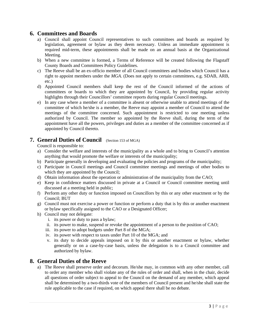## **6. Committees and Boards**

- a) Council shall appoint Council representatives to such committees and boards as required by legislation, agreement or bylaw as they deem necessary. Unless an immediate appointment is required mid-term, these appointments shall be made on an annual basis at the Organizational Meeting.
- b) When a new committee is formed, a Terms of Reference will be created following the Flagstaff County Boards and Committees Policy Guidelines.
- c) The Reeve shall be an ex-officio member of all Council committees and bodies which Council has a right to appoint members under the *MGA*. (Does not apply to certain committees, e.g. SDAB, ARB, etc.)
- d) Appointed Council members shall keep the rest of the Council informed of the actions of committees or boards to which they are appointed by Council, by providing regular activity highlights through their Councillors' committee reports during regular Council meetings.
- e) In any case where a member of a committee is absent or otherwise unable to attend meetings of the committee of which he/she is a member, the Reeve may appoint a member of Council to attend the meetings of the committee concerned. Such appointment is restricted to one meeting unless authorized by Council. The member so appointed by the Reeve shall, during the term of the appointment have all the powers, privileges and duties as a member of the committee concerned as if appointed by Council thereto.

## **7. General Duties of Council** (Section 153 of MGA)

Council is responsible to:

- a) Consider the welfare and interests of the municipality as a whole and to bring to Council's attention anything that would promote the welfare or interests of the municipality;
- b) Participate generally in developing and evaluating the policies and programs of the municipality;
- c) Participate in Council meetings and Council committee meetings and meetings of other bodies to which they are appointed by the Council;
- d) Obtain information about the operation or administration of the municipality from the CAO;
- e) Keep in confidence matters discussed in private at a Council or Council committee meeting until discussed at a meeting held in public;
- f) Perform any other duty or function imposed on Councillors by this or any other enactment or by the Council; BUT
- g) Council must not exercise a power or function or perform a duty that is by this or another enactment or bylaw specifically assigned to the CAO or a Designated Officer;
- h) Council may not delegate:
	- i. its power or duty to pass a bylaw;
	- ii. its power to make, suspend or revoke the appointment of a person to the position of CAO;
	- iii. its power to adopt budgets under Part 8 of the MGA;
	- iv. its power with respect to taxes under Part 10 of the MGA; and
	- v. its duty to decide appeals imposed on it by this or another enactment or bylaw, whether generally or on a case-by-case basis, unless the delegation is to a Council committee and authorized by bylaw.

## **8. General Duties of the Reeve**

a) The Reeve shall preserve order and decorum. He/she may, in common with any other member, call to order any member who shall violate any of the rules of order and shall, when in the chair, decide all questions of order subject to appeal to the Council on the demand of any member, which appeal shall be determined by a two-thirds vote of the members of Council present and he/she shall state the rule applicable to the case if required, on which appeal there shall be no debate.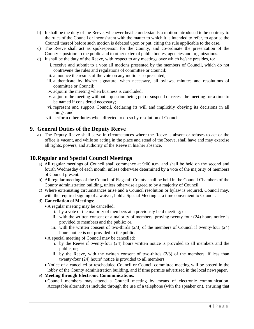- b) It shall be the duty of the Reeve, whenever he/she understands a motion introduced to be contrary to the rules of the Council or inconsistent with the matter to which it is intended to refer, to apprise the Council thereof before such motion is debated upon or put, citing the rule applicable to the case.
- c) The Reeve shall act as spokesperson for the County, and co-ordinate the presentation of the County's position to the public and to other external public bodies, agencies and organizations.
- d) It shall be the duty of the Reeve, with respect to any meetings over which he/she presides, to:
	- i. receive and submit to a vote all motions presented by the members of Council, which do not contravene the rules and regulations of committee or Council;
	- ii. announce the results of the vote on any motions so presented;
	- iii. authenticate by his/her signature, when necessary, all bylaws, minutes and resolutions of committee or Council;
	- iv. adjourn the meeting when business is concluded;
	- v. adjourn the meeting without a question being put or suspend or recess the meeting for a time to be named if considered necessary;
	- vi. represent and support Council, declaring its will and implicitly obeying its decisions in all things; and
	- vii. perform other duties when directed to do so by resolution of Council.

## **9. General Duties of the Deputy Reeve**

a) The Deputy Reeve shall serve in circumstances where the Reeve is absent or refuses to act or the office is vacant, and while so acting in the place and stead of the Reeve, shall have and may exercise all rights, powers, and authority of the Reeve in his/her absence.

## **10.Regular and Special Council Meetings**

- a) All regular meetings of Council shall commence at 9:00 a.m. and shall be held on the second and fourth Wednesday of each month, unless otherwise determined by a vote of the majority of members of Council present.
- b) All regular meetings of the Council of Flagstaff County shall be held in the Council Chambers of the County administration building, unless otherwise agreed to by a majority of Council.
- c) Where extenuating circumstances arise and a Council resolution or bylaw is required, Council may, with the required signing of a waiver, hold a Special Meeting at a time convenient to Council.

#### d) **Cancellation of Meetings**:

- A regular meeting may be cancelled:
	- i. by a vote of the majority of members at a previously held meeting; or
	- ii. with the written consent of a majority of members, proving twenty-four (24) hours notice is provided to members and the public; or,
	- iii. with the written consent of two-thirds  $(2/3)$  of the members of Council if twenty-four  $(24)$ hours notice is not provided to the public.
- A special meeting of Council may be cancelled:
	- i. by the Reeve if twenty-four (24) hours written notice is provided to all members and the public, or;
	- ii. by the Reeve, with the written consent of two-thirds  $(2/3)$  of the members, if less than twenty-four (24) hours' notice is provided to all members.
- Notice of a cancelled or rescheduled Council or Council committee meeting will be posted in the lobby of the County administration building, and if time permits advertised in the local newspaper.
- e) **Meeting through Electronic Communications**:
	- Council members may attend a Council meeting by means of electronic communication. Acceptable alternatives include: through the use of a telephone (with the speaker on), ensuring that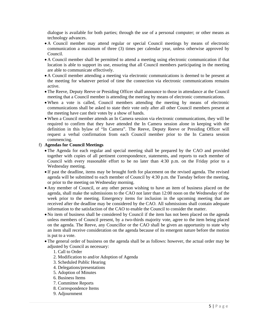dialogue is available for both parties; through the use of a personal computer; or other means as technology advances.

- A Council member may attend regular or special Council meetings by means of electronic communication a maximum of three (3) times per calendar year, unless otherwise approved by Council.
- A Council member shall be permitted to attend a meeting using electronic communication if that location is able to support its use, ensuring that all Council members participating in the meeting are able to communicate effectively.
- A Council member attending a meeting via electronic communications is deemed to be present at the meeting for whatever period of time the connection via electronic communications remains active.
- The Reeve, Deputy Reeve or Presiding Officer shall announce to those in attendance at the Council meeting that a Council member is attending the meeting by means of electronic communications.
- When a vote is called, Council members attending the meeting by means of electronic communications shall be asked to state their vote only after all other Council members present at the meeting have cast their votes by a show of hands.
- When a Council member attends an In Camera session via electronic communications, they will be required to confirm that they have attended the In Camera session alone in keeping with the definition in this bylaw of "In Camera". The Reeve, Deputy Reeve or Presiding Officer will request a verbal confirmation from each Council member prior to the In Camera session commencing.

#### f) **Agendas for Council Meetings**

- The Agenda for each regular and special meeting shall be prepared by the CAO and provided together with copies of all pertinent correspondence, statements, and reports to each member of Council with every reasonable effort to be no later than 4:30 p.m. on the Friday prior to a Wednesday meeting.
- If past the deadline, items may be brought forth for placement on the revised agenda. The revised agenda will be submitted to each member of Council by 4:30 p.m. the Tuesday before the meeting, or prior to the meeting on Wednesday morning.
- Any member of Council, or any other person wishing to have an item of business placed on the agenda, shall make the submissions to the CAO not later than 12:00 noon on the Wednesday of the week prior to the meeting. Emergency items for inclusion in the upcoming meeting that are received after the deadline may be considered by the CAO. All submissions shall contain adequate information to the satisfaction of the CAO to enable the Council to consider the matter.
- No item of business shall be considered by Council if the item has not been placed on the agenda unless members of Council present, by a two-thirds majority vote, agree to the item being placed on the agenda. The Reeve, any Councillor or the CAO shall be given an opportunity to state why an item shall receive consideration on the agenda because of its emergent nature before the motion is put to a vote.
- The general order of business on the agenda shall be as follows: however, the actual order may be adjusted by Council as necessary:

#### 1. Call to Order

- 2. Modification to and/or Adoption of Agenda
- 3. Scheduled Public Hearing
- 4. Delegations/presentations
- 5. Adoption of Minutes
- 6. Business Items
- 7. Committee Reports
- 8. Correspondence Items
- 9. Adjournment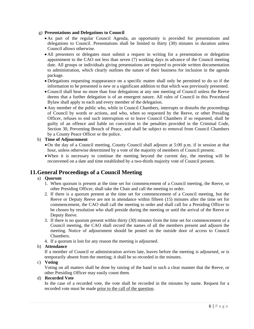#### g) **Presentations and Delegations to Council**

- As part of the regular Council Agenda, an opportunity is provided for presentations and delegations to Council. Presentations shall be limited to thirty (30) minutes in duration unless Council allows otherwise.
- All presenters or delegates must submit a request in writing for a presentation or delegation appointment to the CAO not less than seven (7) working days in advance of the Council meeting date. All groups or individuals giving presentations are required to provide written documentation to administration, which clearly outlines the nature of their business for inclusion in the agenda package.
- Delegations requesting reappearance on a specific matter shall only be permitted to do so if the information to be presented is new or a significant addition to that which was previously presented.
- Council shall hear no more than four delegations at any one meeting of Council unless the Reeve deems that a further delegation is of an emergent nature. All rules of Council in this Procedural Bylaw shall apply to each and every member of the delegation.
- Any member of the public who, while in Council Chambers, interrupts or disturbs the proceedings of Council by words or actions, and who, when so requested by the Reeve, or other Presiding Officer, refuses to end such interruption or to leave Council Chambers if so requested, shall be guilty of an offence and liable on conviction to the penalties provided in the Criminal Code, Section 30, Preventing Breach of Peace, and shall be subject to removal from Council Chambers by a County Peace Officer or the police.

#### h) **Time of Adjournment**

- On the day of a Council meeting, County Council shall adjourn at 5:00 p.m. if in session at that hour, unless otherwise determined by a vote of the majority of members of Council present.
- When it is necessary to continue the meeting beyond the current day, the meeting will be reconvened on a date and time established by a two-thirds majority vote of Council present.

## **11.General Proceedings of a Council Meeting**

#### a) **Quorum**

- 1. When quorum is present at the time set for commencement of a Council meeting, the Reeve, or other Presiding Officer, shall take the Chair and call the meeting to order.
- 2. If there is a quorum present at the time set for commencement of a Council meeting, but the Reeve or Deputy Reeve are not in attendance within fifteen (15) minutes after the time set for commencement, the CAO shall call the meeting to order and shall call for a Presiding Officer to be chosen by resolution who shall preside during the meeting or until the arrival of the Reeve or Deputy Reeve.
- 3. If there is no quorum present within thirty (30) minutes from the time set for commencement of a Council meeting, the CAO shall record the names of all the members present and adjourn the meeting. Notice of adjournment should be posted on the outside door of access to Council Chambers.
- 4. If a quorum is lost for any reason the meeting is adjourned.

#### b) **Attendance**

If a member of Council or administration arrives late, leaves before the meeting is adjourned, or is temporarily absent from the meeting; it shall be so recorded in the minutes.

#### c) **Voting**

Voting on all matters shall be done by raising of the hand in such a clear manner that the Reeve, or other Presiding Officer may easily count them.

#### d) **Recorded Vote**

In the case of a recorded vote, the vote shall be recorded in the minutes by name. Request for a recorded vote must be made prior to the call of the question.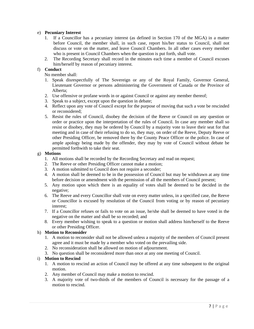#### e) **Pecuniary Interest**

- 1. If a Councillor has a pecuniary interest (as defined in Section 170 of the MGA) in a matter before Council, the member shall, in such case, report his/her status to Council, shall not discuss or vote on the matter, and leave Council Chambers. In all other cases every member who is present in Council Chambers when the question is put forth, shall vote.
- 2. The Recording Secretary shall record in the minutes each time a member of Council excuses him/herself by reason of pecuniary interest.

#### f) **Conduct**

No member shall:

- 1. Speak disrespectfully of The Sovereign or any of the Royal Family, Governor General, Lieutenant Governor or persons administering the Government of Canada or the Province of Alberta;
- 2. Use offensive or profane words in or against Council or against any member thereof;
- 3. Speak to a subject, except upon the question in debate;
- 4. Reflect upon any vote of Council except for the purpose of moving that such a vote be rescinded or reconsidered;
- 5. Resist the rules of Council, disobey the decision of the Reeve or Council on any question or order or practice upon the interpretation of the rules of Council. In case any member shall so resist or disobey, they may be ordered by Council by a majority vote to leave their seat for that meeting and in case of their refusing to do so, they may, on order of the Reeve, Deputy Reeve or other Presiding Officer, be removed there by the County Peace Officer or the police. In case of ample apology being made by the offender, they may by vote of Council without debate be permitted forthwith to take their seat.

#### g) **Motions**

- 1. All motions shall be recorded by the Recording Secretary and read on request;
- 2. The Reeve or other Presiding Officer cannot make a motion;
- 3. A motion submitted to Council does not require a seconder;
- 4. A motion shall be deemed to be in the possession of Council but may be withdrawn at any time before decision or amendment with the permission of all the members of Council present;
- 5. Any motion upon which there is an equality of votes shall be deemed to be decided in the negative;
- 6. The Reeve and every Councillor shall vote on every matter unless, in a specified case, the Reeve or Councillor is excused by resolution of the Council from voting or by reason of pecuniary interest;
- 7. If a Councillor refuses or fails to vote on an issue, he/she shall be deemed to have voted in the negative on the matter and shall be so recorded; and
- 8. Every member wishing to speak to a question or motion shall address him/herself to the Reeve or other Presiding Officer.

#### h) **Motion to Reconsider**

- 1. A motion to reconsider shall not be allowed unless a majority of the members of Council present agree and it must be made by a member who voted on the prevailing side.
- 2. No reconsideration shall be allowed on motion of adjournment.
- 3. No question shall be reconsidered more than once at any one meeting of Council.

#### i) **Motion to Rescind**

- 1. A motion to rescind an action of Council may be offered at any time subsequent to the original motion.
- 2. Any member of Council may make a motion to rescind.
- 3. A majority vote of two-thirds of the members of Council is necessary for the passage of a motion to rescind.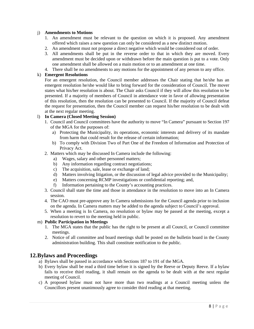#### j) **Amendments to Motions**

- 1. An amendment must be relevant to the question on which it is proposed. Any amendment offered which raises a new question can only be considered as a new distinct motion.
- 2. An amendment must not propose a direct negative which would be considered out of order.
- 3. All amendments shall be put in the reverse order to that in which they are moved. Every amendment must be decided upon or withdrawn before the main question is put to a vote. Only one amendment shall be allowed on a main motion or to an amendment at one time.
- 4. There shall be no amendments to any motions for the appointment of any person to any office.

#### k) **Emergent Resolutions**

For an emergent resolution, the Council member addresses the Chair stating that he/she has an emergent resolution he/she would like to bring forward for the consideration of Council. The mover states what his/her resolution is about. The Chair asks Council if they will allow this resolution to be presented. If a majority of members of Council in attendance vote in favor of allowing presentation of this resolution, then the resolution can be presented to Council. If the majority of Council defeat the request for presentation, then the Council member can request his/her resolution to be dealt with at the next regular meeting.

#### l) **In Camera (Closed Meeting Session)**

- 1. Council and Council committees have the authority to move "In Camera" pursuant to Section 197 of the MGA for the purposes of:
	- a) Protecting the Municipality, its operations, economic interests and delivery of its mandate from harm that could result for the release of certain information;
	- b) To comply with Division Two of Part One of the Freedom of Information and Protection of Privacy Act.
- 2. Matters which may be discussed In Camera include the following:
	- a) Wages, salary and other personnel matters;
	- b) Any information regarding contract negotiations;
	- c) The acquisition, sale, lease or exchange of land;
	- d) Matters involving litigation, or the discussion of legal advice provided to the Municipality;
	- e) Matters concerning RCMP investigations or confidential reporting; and,
	- f) Information pertaining to the County's accounting practices.
- 3. Council shall state the time and those in attendance in the resolution to move into an In Camera session.
- 4. The CAO must pre-approve any In Camera submissions for the Council agenda prior to inclusion on the agenda. In Camera matters may be added to the agenda subject to Council's approval.
- 5. When a meeting is In Camera, no resolution or bylaw may be passed at the meeting, except a resolution to revert to the meeting held in public.

#### m) **Public Participation in Meetings**

- 1. The MGA states that the public has the right to be present at all Council, or Council committee meetings.
- 2. Notice of all committee and board meetings shall be posted on the bulletin board in the County administration building. This shall constitute notification to the public.

## **12.Bylaws and Proceedings**

- a) Bylaws shall be passed in accordance with Sections 187 to 191 of the MGA.
- b) Every bylaw shall be read a third time before it is signed by the Reeve or Deputy Reeve. If a bylaw fails to receive third reading, it shall remain on the agenda to be dealt with at the next regular meeting of Council.
- c) A proposed bylaw must not have more than two readings at a Council meeting unless the Councillors present unanimously agree to consider third reading at that meeting.